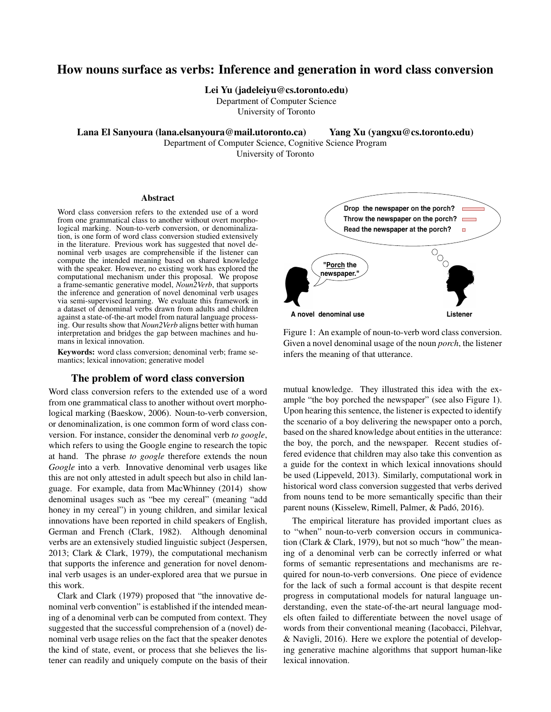# How nouns surface as verbs: Inference and generation in word class conversion

Lei Yu (jadeleiyu@cs.toronto.edu)

Department of Computer Science

University of Toronto

Lana El Sanyoura (lana.elsanyoura@mail.utoronto.ca) Yang Xu (yangxu@cs.toronto.edu)

Department of Computer Science, Cognitive Science Program

University of Toronto

#### Abstract

Word class conversion refers to the extended use of a word from one grammatical class to another without overt morphological marking. Noun-to-verb conversion, or denominalization, is one form of word class conversion studied extensively in the literature. Previous work has suggested that novel denominal verb usages are comprehensible if the listener can compute the intended meaning based on shared knowledge with the speaker. However, no existing work has explored the computational mechanism under this proposal. We propose a frame-semantic generative model, *Noun2Verb*, that supports the inference and generation of novel denominal verb usages via semi-supervised learning. We evaluate this framework in a dataset of denominal verbs drawn from adults and children against a state-of-the-art model from natural language processing. Our results show that *Noun2Verb* aligns better with human interpretation and bridges the gap between machines and humans in lexical innovation.

Keywords: word class conversion; denominal verb; frame semantics; lexical innovation; generative model

#### The problem of word class conversion

Word class conversion refers to the extended use of a word from one grammatical class to another without overt morphological marking (Baeskow, 2006). Noun-to-verb conversion, or denominalization, is one common form of word class conversion. For instance, consider the denominal verb *to google*, which refers to using the Google engine to research the topic at hand. The phrase *to google* therefore extends the noun *Google* into a verb. Innovative denominal verb usages like this are not only attested in adult speech but also in child language. For example, data from MacWhinney (2014) show denominal usages such as "bee my cereal" (meaning "add honey in my cereal") in young children, and similar lexical innovations have been reported in child speakers of English, German and French (Clark, 1982). Although denominal verbs are an extensively studied linguistic subject (Jespersen, 2013; Clark & Clark, 1979), the computational mechanism that supports the inference and generation for novel denominal verb usages is an under-explored area that we pursue in this work.

Clark and Clark (1979) proposed that "the innovative denominal verb convention" is established if the intended meaning of a denominal verb can be computed from context. They suggested that the successful comprehension of a (novel) denominal verb usage relies on the fact that the speaker denotes the kind of state, event, or process that she believes the listener can readily and uniquely compute on the basis of their



Figure 1: An example of noun-to-verb word class conversion. Given a novel denominal usage of the noun *porch*, the listener infers the meaning of that utterance.

mutual knowledge. They illustrated this idea with the example "the boy porched the newspaper" (see also Figure 1). Upon hearing this sentence, the listener is expected to identify the scenario of a boy delivering the newspaper onto a porch, based on the shared knowledge about entities in the utterance: the boy, the porch, and the newspaper. Recent studies offered evidence that children may also take this convention as a guide for the context in which lexical innovations should be used (Lippeveld, 2013). Similarly, computational work in historical word class conversion suggested that verbs derived from nouns tend to be more semantically specific than their parent nouns (Kisselew, Rimell, Palmer, & Padó, 2016).

The empirical literature has provided important clues as to "when" noun-to-verb conversion occurs in communication (Clark & Clark, 1979), but not so much "how" the meaning of a denominal verb can be correctly inferred or what forms of semantic representations and mechanisms are required for noun-to-verb conversions. One piece of evidence for the lack of such a formal account is that despite recent progress in computational models for natural language understanding, even the state-of-the-art neural language models often failed to differentiate between the novel usage of words from their conventional meaning (Iacobacci, Pilehvar, & Navigli, 2016). Here we explore the potential of developing generative machine algorithms that support human-like lexical innovation.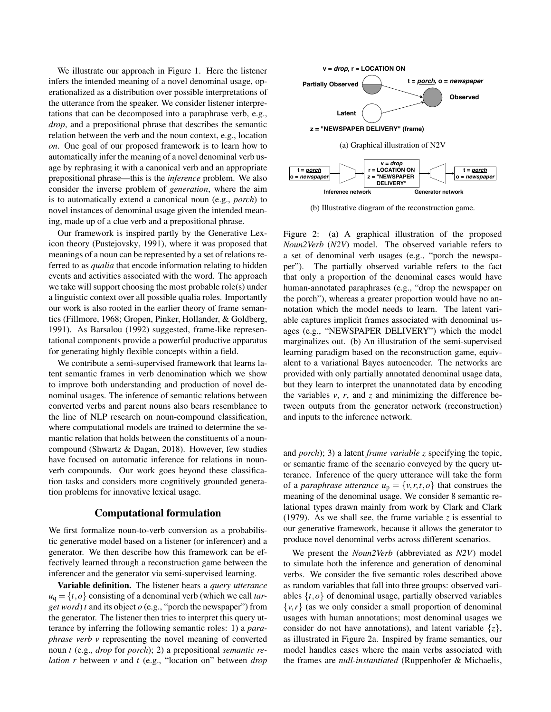We illustrate our approach in Figure 1. Here the listener infers the intended meaning of a novel denominal usage, operationalized as a distribution over possible interpretations of the utterance from the speaker. We consider listener interpretations that can be decomposed into a paraphrase verb, e.g., *drop*, and a prepositional phrase that describes the semantic relation between the verb and the noun context, e.g., location *on*. One goal of our proposed framework is to learn how to automatically infer the meaning of a novel denominal verb usage by rephrasing it with a canonical verb and an appropriate prepositional phrase—this is the *inference* problem. We also consider the inverse problem of *generation*, where the aim is to automatically extend a canonical noun (e.g., *porch*) to novel instances of denominal usage given the intended meaning, made up of a clue verb and a prepositional phrase.

Our framework is inspired partly by the Generative Lexicon theory (Pustejovsky, 1991), where it was proposed that meanings of a noun can be represented by a set of relations referred to as *qualia* that encode information relating to hidden events and activities associated with the word. The approach we take will support choosing the most probable role(s) under a linguistic context over all possible qualia roles. Importantly our work is also rooted in the earlier theory of frame semantics (Fillmore, 1968; Gropen, Pinker, Hollander, & Goldberg, 1991). As Barsalou (1992) suggested, frame-like representational components provide a powerful productive apparatus for generating highly flexible concepts within a field.

We contribute a semi-supervised framework that learns latent semantic frames in verb denomination which we show to improve both understanding and production of novel denominal usages. The inference of semantic relations between converted verbs and parent nouns also bears resemblance to the line of NLP research on noun-compound classification, where computational models are trained to determine the semantic relation that holds between the constituents of a nouncompound (Shwartz & Dagan, 2018). However, few studies have focused on automatic inference for relations in nounverb compounds. Our work goes beyond these classification tasks and considers more cognitively grounded generation problems for innovative lexical usage.

### Computational formulation

We first formalize noun-to-verb conversion as a probabilistic generative model based on a listener (or inferencer) and a generator. We then describe how this framework can be effectively learned through a reconstruction game between the inferencer and the generator via semi-supervised learning.

Variable definition. The listener hears a *query utterance*  $u_q = \{t, o\}$  consisting of a denominal verb (which we call *target word*) *t* and its object *o* (e.g., "porch the newspaper") from the generator. The listener then tries to interpret this query utterance by inferring the following semantic roles: 1) a *paraphrase verb v* representing the novel meaning of converted noun *t* (e.g., *drop* for *porch*); 2) a prepositional *semantic relation r* between *v* and *t* (e.g., "location on" between *drop*



(b) Illustrative diagram of the reconstruction game.

Figure 2: (a) A graphical illustration of the proposed *Noun2Verb* (*N2V*) model. The observed variable refers to a set of denominal verb usages (e.g., "porch the newspaper"). The partially observed variable refers to the fact that only a proportion of the denominal cases would have human-annotated paraphrases (e.g., "drop the newspaper on the porch"), whereas a greater proportion would have no annotation which the model needs to learn. The latent variable captures implicit frames associated with denominal usages (e.g., "NEWSPAPER DELIVERY") which the model marginalizes out. (b) An illustration of the semi-supervised learning paradigm based on the reconstruction game, equivalent to a variational Bayes autoencoder. The networks are provided with only partially annotated denominal usage data, but they learn to interpret the unannotated data by encoding the variables  $v$ ,  $r$ , and  $z$  and minimizing the difference between outputs from the generator network (reconstruction) and inputs to the inference network.

and *porch*); 3) a latent *frame variable z* specifying the topic, or semantic frame of the scenario conveyed by the query utterance. Inference of the query utterance will take the form of a *paraphrase utterance*  $u_p = \{v, r, t, o\}$  that construes the meaning of the denominal usage. We consider 8 semantic relational types drawn mainly from work by Clark and Clark (1979). As we shall see, the frame variable  $\zeta$  is essential to our generative framework, because it allows the generator to produce novel denominal verbs across different scenarios.

We present the *Noun2Verb* (abbreviated as *N2V*) model to simulate both the inference and generation of denominal verbs. We consider the five semantic roles described above as random variables that fall into three groups: observed variables  $\{t, o\}$  of denominal usage, partially observed variables  $\{v, r\}$  (as we only consider a small proportion of denominal usages with human annotations; most denominal usages we consider do not have annotations), and latent variable  $\{z\}$ , as illustrated in Figure 2a. Inspired by frame semantics, our model handles cases where the main verbs associated with the frames are *null-instantiated* (Ruppenhofer & Michaelis,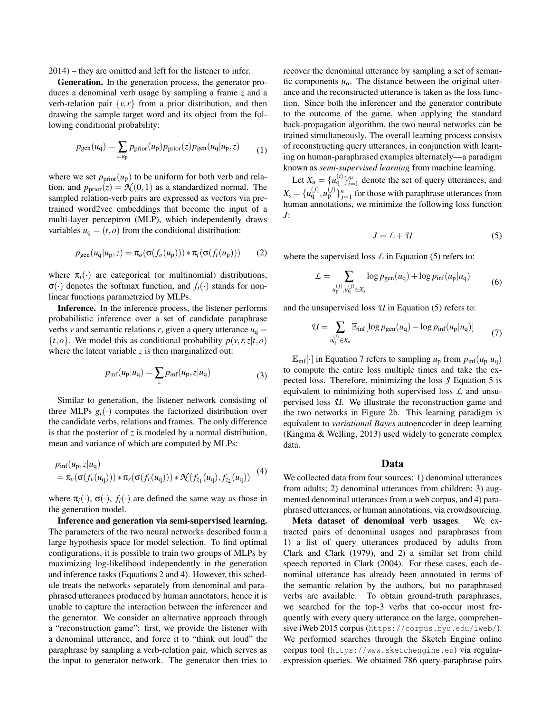2014) – they are omitted and left for the listener to infer.

Generation. In the generation process, the generator produces a denominal verb usage by sampling a frame *z* and a verb-relation pair  $\{v, r\}$  from a prior distribution, and then drawing the sample target word and its object from the following conditional probability:

$$
p_{\text{gen}}(u_{\text{q}}) = \sum_{z,u_{\text{p}}} p_{\text{prior}}(u_{\text{p}}) p_{\text{prior}}(z) p_{\text{gen}}(u_{\text{q}}|u_{\text{p}},z)
$$
(1)

where we set  $p_{prior}(u_p)$  to be uniform for both verb and relation, and  $p_{prior}(z) = \mathcal{N}(0, 1)$  as a standardized normal. The sampled relation-verb pairs are expressed as vectors via pretrained word2vec embeddings that become the input of a multi-layer perceptron (MLP), which independently draws variables  $u_q = (t, o)$  from the conditional distribution:

$$
p_{\text{gen}}(u_{\text{q}}|u_{\text{p}},z) = \pi_o(\sigma(f_o(u_{\text{p}}))) * \pi_t(\sigma(f_t(u_{\text{p}})))
$$
 (2)

where  $\pi_i(\cdot)$  are categorical (or multinomial) distributions,  $\sigma(\cdot)$  denotes the softmax function, and  $f_i(\cdot)$  stands for nonlinear functions parametrzied by MLPs.

Inference. In the inference process, the listener performs probabilistic inference over a set of candidate paraphrase verbs *v* and semantic relations *r*, given a query utterance  $u<sub>q</sub> =$  $\{t, o\}$ . We model this as conditional probability  $p(v, r, z|t, o)$ where the latent variable  $z$  is then marginalized out:

$$
p_{\inf}(u_{\mathbf{p}}|u_{\mathbf{q}}) = \sum_{z} p_{\inf}(u_{\mathbf{p}}, z|u_{\mathbf{q}})
$$
 (3)

Similar to generation, the listener network consisting of three MLPs  $g_i(\cdot)$  computes the factorized distribution over the candidate verbs, relations and frames. The only difference is that the posterior of *z* is modeled by a normal distribution, mean and variance of which are computed by MLPs:

$$
p_{\text{inf}}(u_{p}, z | u_{q}) = \pi_{\nu}(\sigma(f_{\nu}(u_{q}))) * \pi_{r}(\sigma(f_{r}(u_{q}))) * \mathcal{K}(f_{z_{1}}(u_{q}), f_{z_{2}}(u_{q}))
$$
(4)

where  $\pi_i(\cdot)$ ,  $\sigma(\cdot)$ ,  $f_i(\cdot)$  are defined the same way as those in the generation model.

Inference and generation via semi-supervised learning. The parameters of the two neural networks described form a large hypothesis space for model selection. To find optimal configurations, it is possible to train two groups of MLPs by maximizing log-likelihood independently in the generation and inference tasks (Equations 2 and 4). However, this schedule treats the networks separately from denominal and paraphrased utterances produced by human annotators, hence it is unable to capture the interaction between the inferencer and the generator. We consider an alternative approach through a "reconstruction game": first, we provide the listener with a denominal utterance, and force it to "think out loud" the paraphrase by sampling a verb-relation pair, which serves as the input to generator network. The generator then tries to recover the denominal utterance by sampling a set of semantic components  $u_0$ . The distance between the original utterance and the reconstructed utterance is taken as the loss function. Since both the inferencer and the generator contribute to the outcome of the game, when applying the standard back-propagation algorithm, the two neural networks can be trained simultaneously. The overall learning process consists of reconstructing query utterances, in conjunction with learning on human-paraphrased examples alternately—a paradigm known as *semi-supervised learning* from machine learning.

Let  $X_{\mu} = \{u_q^{(i)}\}_{i=1}^m$  denote the set of query utterances, and  $X_s = \{u_q^{(j)}, u_p^{(j)}\}_{j=1}^n$  for those with paraphrase utterances from human annotations, we minimize the following loss function *J*:

$$
J = L + \mathcal{U} \tag{5}
$$

where the supervised loss  $\mathcal L$  in Equation (5) refers to:

$$
\mathcal{L} = \sum_{u_p^{(j)}, u_q^{(j)} \in X_s} \log p_{\text{gen}}(u_q) + \log p_{\text{inf}}(u_p | u_q) \tag{6}
$$

and the unsupervised loss *U* in Equation (5) refers to:

$$
\mathcal{U} = \sum_{u_q^{(i)} \in X_u} \mathbb{E}_{\text{inf}}[\log p_{\text{gen}}(u_q) - \log p_{\text{inf}}(u_p|u_q)] \tag{7}
$$

 $\mathbb{E}_{\text{inf}}[\cdot]$  in Equation 7 refers to sampling  $u_{\text{p}}$  from  $p_{\text{inf}}(u_{\text{p}}|u_{\text{q}})$ to compute the entire loss multiple times and take the expected loss. Therefore, minimizing the loss *J* Equation 5 is equivalent to minimizing both supervised loss *L* and unsupervised loss *U*. We illustrate the reconstruction game and the two networks in Figure 2b. This learning paradigm is equivalent to *variational Bayes* autoencoder in deep learning (Kingma & Welling, 2013) used widely to generate complex data.

#### Data

We collected data from four sources: 1) denominal utterances from adults; 2) denominal utterances from children; 3) augmented denominal utterances from a web corpus, and 4) paraphrased utterances, or human annotations, via crowdsourcing.

Meta dataset of denominal verb usages. We extracted pairs of denominal usages and paraphrases from 1) a list of query utterances produced by adults from Clark and Clark (1979), and 2) a similar set from child speech reported in Clark (2004). For these cases, each denominal utterance has already been annotated in terms of the semantic relation by the authors, but no paraphrased verbs are available. To obtain ground-truth paraphrases, we searched for the top-3 verbs that co-occur most frequently with every query utterance on the large, comprehensive iWeb 2015 corpus (https://corpus.byu.edu/iweb/). We performed searches through the Sketch Engine online corpus tool (https://www.sketchengine.eu) via regularexpression queries. We obtained 786 query-paraphrase pairs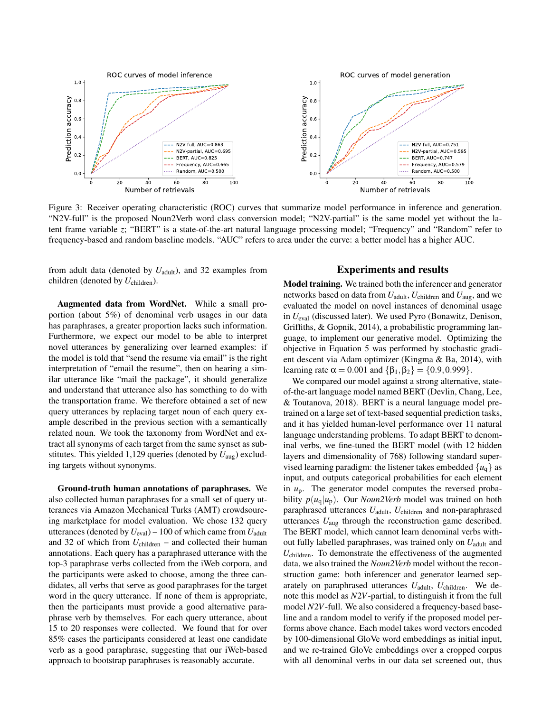

Figure 3: Receiver operating characteristic (ROC) curves that summarize model performance in inference and generation. "N2V-full" is the proposed Noun2Verb word class conversion model; "N2V-partial" is the same model yet without the latent frame variable *z*; "BERT" is a state-of-the-art natural language processing model; "Frequency" and "Random" refer to frequency-based and random baseline models. "AUC" refers to area under the curve: a better model has a higher AUC.

from adult data (denoted by  $U_{\text{adult}}$ ), and 32 examples from children (denoted by *U*children).

Augmented data from WordNet. While a small proportion (about 5%) of denominal verb usages in our data has paraphrases, a greater proportion lacks such information. Furthermore, we expect our model to be able to interpret novel utterances by generalizing over learned examples: if the model is told that "send the resume via email" is the right interpretation of "email the resume", then on hearing a similar utterance like "mail the package", it should generalize and understand that utterance also has something to do with the transportation frame. We therefore obtained a set of new query utterances by replacing target noun of each query example described in the previous section with a semantically related noun. We took the taxonomy from WordNet and extract all synonyms of each target from the same synset as substitutes. This yielded 1,129 queries (denoted by *U*aug) excluding targets without synonyms.

Ground-truth human annotations of paraphrases. We also collected human paraphrases for a small set of query utterances via Amazon Mechanical Turks (AMT) crowdsourcing marketplace for model evaluation. We chose 132 query utterances (denoted by  $U_{\text{eval}}$ ) – 100 of which came from  $U_{\text{adult}}$ and 32 of which from  $U_{\text{children}}$  – and collected their human annotations. Each query has a paraphrased utterance with the top-3 paraphrase verbs collected from the iWeb corpora, and the participants were asked to choose, among the three candidates, all verbs that serve as good paraphrases for the target word in the query utterance. If none of them is appropriate, then the participants must provide a good alternative paraphrase verb by themselves. For each query utterance, about 15 to 20 responses were collected. We found that for over 85% cases the participants considered at least one candidate verb as a good paraphrase, suggesting that our iWeb-based approach to bootstrap paraphrases is reasonably accurate.

#### Experiments and results

Model training. We trained both the inferencer and generator networks based on data from *U*adult, *U*children and *U*aug, and we evaluated the model on novel instances of denominal usage in *U*eval (discussed later). We used Pyro (Bonawitz, Denison, Griffiths, & Gopnik, 2014), a probabilistic programming language, to implement our generative model. Optimizing the objective in Equation 5 was performed by stochastic gradient descent via Adam optimizer (Kingma & Ba, 2014), with learning rate  $\alpha = 0.001$  and  $\{\beta_1, \beta_2\} = \{0.9, 0.999\}.$ 

We compared our model against a strong alternative, stateof-the-art language model named BERT (Devlin, Chang, Lee, & Toutanova, 2018). BERT is a neural language model pretrained on a large set of text-based sequential prediction tasks, and it has yielded human-level performance over 11 natural language understanding problems. To adapt BERT to denominal verbs, we fine-tuned the BERT model (with 12 hidden layers and dimensionality of 768) following standard supervised learning paradigm: the listener takes embedded  $\{u_{\alpha}\}\$ as input, and outputs categorical probabilities for each element in *u*p. The generator model computes the reversed probability  $p(u_q|u_p)$ . Our *Noun2Verb* model was trained on both paraphrased utterances  $U_{\text{adult}}$ ,  $U_{\text{children}}$  and non-paraphrased utterances *U*aug through the reconstruction game described. The BERT model, which cannot learn denominal verbs without fully labelled paraphrases, was trained only on  $U_{\text{adult}}$  and *U*children. To demonstrate the effectiveness of the augmented data, we also trained the *Noun2Verb* model without the reconstruction game: both inferencer and generator learned separately on paraphrased utterances  $U_{\text{adult}}$ ,  $U_{\text{children}}$ . We denote this model as *N*2*V*-partial, to distinguish it from the full model *N*2*V*-full. We also considered a frequency-based baseline and a random model to verify if the proposed model performs above chance. Each model takes word vectors encoded by 100-dimensional GloVe word embeddings as initial input, and we re-trained GloVe embeddings over a cropped corpus with all denominal verbs in our data set screened out, thus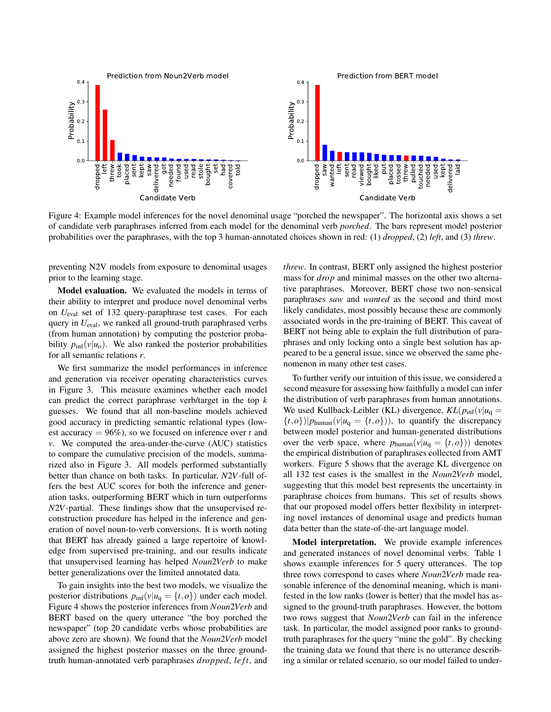

Figure 4: Example model inferences for the novel denominal usage "porched the newspaper". The horizontal axis shows a set of candidate verb paraphrases inferred from each model for the denominal verb *porched*. The bars represent model posterior probabilities over the paraphrases, with the top 3 human-annotated choices shown in red: (1) *dropped*, (2) *left*, and (3) *threw*.

preventing N2V models from exposure to denominal usages prior to the learning stage.

Model evaluation. We evaluated the models in terms of their ability to interpret and produce novel denominal verbs on *U*eval set of 132 query-paraphrase test cases. For each query in  $U_{\text{eval}}$ , we ranked all ground-truth paraphrased verbs (from human annotation) by computing the posterior probability  $p_{\text{inf}}(v|u_0)$ . We also ranked the posterior probabilities for all semantic relations *r*.

We first summarize the model performances in inference and generation via receiver operating characteristics curves in Figure 3. This measure examines whether each model can predict the correct paraphrase verb/target in the top *k* guesses. We found that all non-baseline models achieved good accuracy in predicting semantic relational types (lowest accuracy  $= 96\%$ ), so we focused on inference over *t* and *v*. We computed the area-under-the-curve (AUC) statistics to compare the cumulative precision of the models, summarized also in Figure 3. All models performed substantially better than chance on both tasks. In particular, *N*2*V*-full offers the best AUC scores for both the inference and generation tasks, outperforming BERT which in turn outperforms *N*2*V*-partial. These findings show that the unsupervised reconstruction procedure has helped in the inference and generation of novel noun-to-verb conversions. It is worth noting that BERT has already gained a large repertoire of knowledge from supervised pre-training, and our results indicate that unsupervised learning has helped *Noun*2*Verb* to make better generalizations over the limited annotated data.

To gain insights into the best two models, we visualize the posterior distributions  $p_{\text{inf}}(v|u_q = \{t, o\})$  under each model. Figure 4 shows the posterior inferences from *Noun*2*Verb* and BERT based on the query utterance "the boy porched the newspaper" (top 20 candidate verbs whose probabilities are above zero are shown). We found that the *Noun*2*Verb* model assigned the highest posterior masses on the three groundtruth human-annotated verb paraphrases *dropped*, *le ft*, and *threw*. In contrast, BERT only assigned the highest posterior mass for *drop* and minimal masses on the other two alternative paraphrases. Moreover, BERT chose two non-sensical paraphrases *saw* and *wanted* as the second and third most likely candidates, most possibly because these are commonly associated words in the pre-training of BERT. This caveat of BERT not being able to explain the full distribution of paraphrases and only locking onto a single best solution has appeared to be a general issue, since we observed the same phenomenon in many other test cases.

To further verify our intuition of this issue, we considered a second measure for assessing how faithfully a model can infer the distribution of verb paraphrases from human annotations. We used Kullback-Leibler (KL) divergence,  $KL(p_{\text{inf}}(v|u_q)))$  $\{t, o\}$ )| $p_{\text{human}}(v|u_q = \{t, o\})$ ), to quantify the discrepancy between model posterior and human-generated distributions over the verb space, where  $p_{\text{human}}(v|u_q = \{t, o\})$  denotes the empirical distribution of paraphrases collected from AMT workers. Figure 5 shows that the average KL divergence on all 132 test cases is the smallest in the *Noun*2*Verb* model, suggesting that this model best represents the uncertainty in paraphrase choices from humans. This set of results shows that our proposed model offers better flexibility in interpreting novel instances of denominal usage and predicts human data better than the state-of-the-art language model.

Model interpretation. We provide example inferences and generated instances of novel denominal verbs. Table 1 shows example inferences for 5 query utterances. The top three rows correspond to cases where *Noun*2*Verb* made reasonable inference of the denominal meaning, which is manifested in the low ranks (lower is better) that the model has assigned to the ground-truth paraphrases. However, the bottom two rows suggest that *Noun*2*Verb* can fail in the inference task. In particular, the model assigned poor ranks to groundtruth paraphrases for the query "mine the gold". By checking the training data we found that there is no utterance describing a similar or related scenario, so our model failed to under-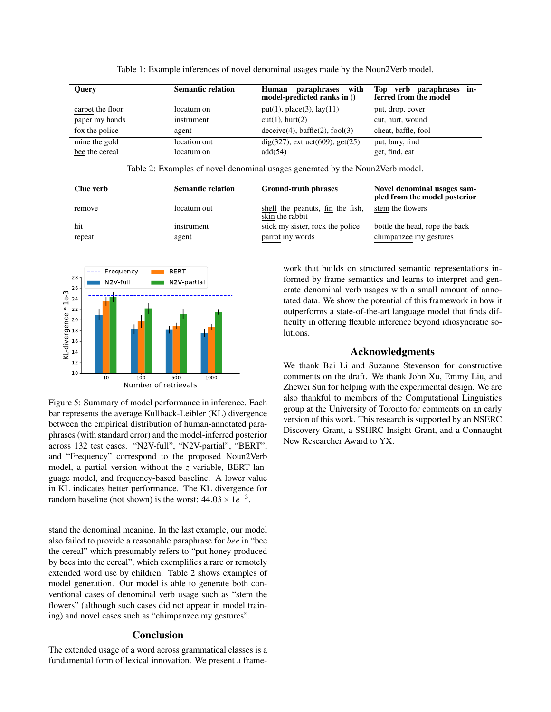| <b>Query</b>                            | <b>Semantic relation</b> | Human paraphrases with<br>model-predicted ranks in () | verb paraphrases in-<br>Top<br>ferred from the model |
|-----------------------------------------|--------------------------|-------------------------------------------------------|------------------------------------------------------|
| carpet the floor                        | locatum on               | put(1), place(3), lay(11)                             | put, drop, cover                                     |
| paper my hands                          | instrument               | $cut(1)$ , hurt $(2)$                                 | cut, hurt, wound                                     |
| fox the police                          | agent                    | $\text{deceive}(4), \text{baffle}(2), \text{fool}(3)$ | cheat, baffle, fool                                  |
| $\frac{\text{mine}}{\text{m}}$ the gold | location out             | $dig(327)$ , extract $(609)$ , get $(25)$             | put, bury, find                                      |
| bee the cereal                          | locatum on               | add(54)                                               | get, find, eat                                       |

Table 1: Example inferences of novel denominal usages made by the Noun2Verb model.

Table 2: Examples of novel denominal usages generated by the Noun2Verb model.

| Clue verb | <b>Semantic relation</b> | <b>Ground-truth phrases</b>                         | Novel denominal usages sam-<br>pled from the model posterior |
|-----------|--------------------------|-----------------------------------------------------|--------------------------------------------------------------|
| remove    | locatum out              | shell the peanuts, fin the fish,<br>skin the rabbit | stem the flowers                                             |
| hit       | instrument               | stick my sister, rock the police                    | bottle the head, rope the back                               |
| repeat    | agent                    | parrot my words                                     | chimpanzee my gestures                                       |



Figure 5: Summary of model performance in inference. Each bar represents the average Kullback-Leibler (KL) divergence between the empirical distribution of human-annotated paraphrases (with standard error) and the model-inferred posterior across 132 test cases. "N2V-full", "N2V-partial", "BERT", and "Frequency" correspond to the proposed Noun2Verb model, a partial version without the *z* variable, BERT language model, and frequency-based baseline. A lower value in KL indicates better performance. The KL divergence for random baseline (not shown) is the worst:  $44.03 \times 1e^{-3}$ .

stand the denominal meaning. In the last example, our model also failed to provide a reasonable paraphrase for *bee* in "bee the cereal" which presumably refers to "put honey produced by bees into the cereal", which exemplifies a rare or remotely extended word use by children. Table 2 shows examples of model generation. Our model is able to generate both conventional cases of denominal verb usage such as "stem the flowers" (although such cases did not appear in model training) and novel cases such as "chimpanzee my gestures".

### Conclusion

The extended usage of a word across grammatical classes is a fundamental form of lexical innovation. We present a framework that builds on structured semantic representations informed by frame semantics and learns to interpret and generate denominal verb usages with a small amount of annotated data. We show the potential of this framework in how it outperforms a state-of-the-art language model that finds difficulty in offering flexible inference beyond idiosyncratic solutions.

## Acknowledgments

We thank Bai Li and Suzanne Stevenson for constructive comments on the draft. We thank John Xu, Emmy Liu, and Zhewei Sun for helping with the experimental design. We are also thankful to members of the Computational Linguistics group at the University of Toronto for comments on an early version of this work. This research is supported by an NSERC Discovery Grant, a SSHRC Insight Grant, and a Connaught New Researcher Award to YX.